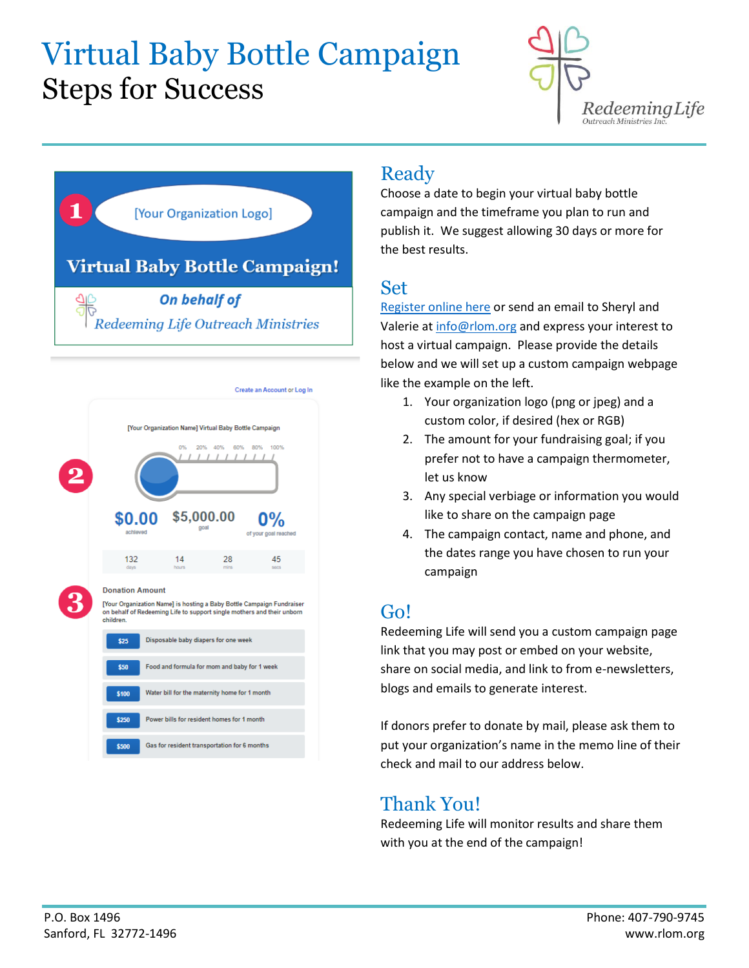## Virtual Baby Bottle Campaign Steps for Success







### Ready

Choose a date to begin your virtual baby bottle campaign and the timeframe you plan to run and publish it. We suggest allowing 30 days or more for the best results.

#### Set

[Register online here](https://www.rlom.org/baby-bottle-campaign) or send an email to Sheryl and Valerie at [info@rlom.org](mailto:info@rlom.org) and express your interest to host a virtual campaign. Please provide the details below and we will set up a custom campaign webpage like the example on the left.

- 1. Your organization logo (png or jpeg) and a custom color, if desired (hex or RGB)
- 2. The amount for your fundraising goal; if you prefer not to have a campaign thermometer, let us know
- 3. Any special verbiage or information you would like to share on the campaign page
- 4. The campaign contact, name and phone, and the dates range you have chosen to run your campaign

### Go!

Redeeming Life will send you a custom campaign page link that you may post or embed on your website, share on social media, and link to from e-newsletters, blogs and emails to generate interest.

If donors prefer to donate by mail, please ask them to put your organization's name in the memo line of their check and mail to our address below.

#### Thank You!

Redeeming Life will monitor results and share them with you at the end of the campaign!